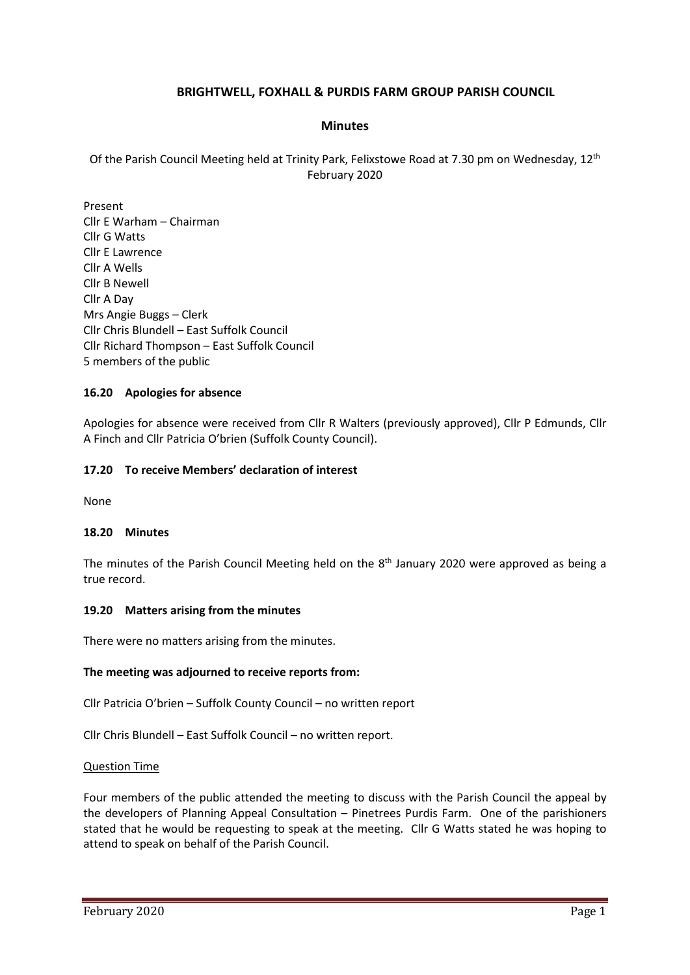# **BRIGHTWELL, FOXHALL & PURDIS FARM GROUP PARISH COUNCIL**

### **Minutes**

Of the Parish Council Meeting held at Trinity Park, Felixstowe Road at 7.30 pm on Wednesday, 12th February 2020

Present Cllr E Warham – Chairman Cllr G Watts Cllr E Lawrence Cllr A Wells Cllr B Newell Cllr A Day Mrs Angie Buggs – Clerk Cllr Chris Blundell – East Suffolk Council Cllr Richard Thompson – East Suffolk Council 5 members of the public

### **16.20 Apologies for absence**

Apologies for absence were received from Cllr R Walters (previously approved), Cllr P Edmunds, Cllr A Finch and Cllr Patricia O'brien (Suffolk County Council).

### **17.20 To receive Members' declaration of interest**

None

### **18.20 Minutes**

The minutes of the Parish Council Meeting held on the  $8<sup>th</sup>$  January 2020 were approved as being a true record.

### **19.20 Matters arising from the minutes**

There were no matters arising from the minutes.

### **The meeting was adjourned to receive reports from:**

Cllr Patricia O'brien – Suffolk County Council – no written report

Cllr Chris Blundell – East Suffolk Council – no written report.

#### Question Time

Four members of the public attended the meeting to discuss with the Parish Council the appeal by the developers of Planning Appeal Consultation – Pinetrees Purdis Farm. One of the parishioners stated that he would be requesting to speak at the meeting. Cllr G Watts stated he was hoping to attend to speak on behalf of the Parish Council.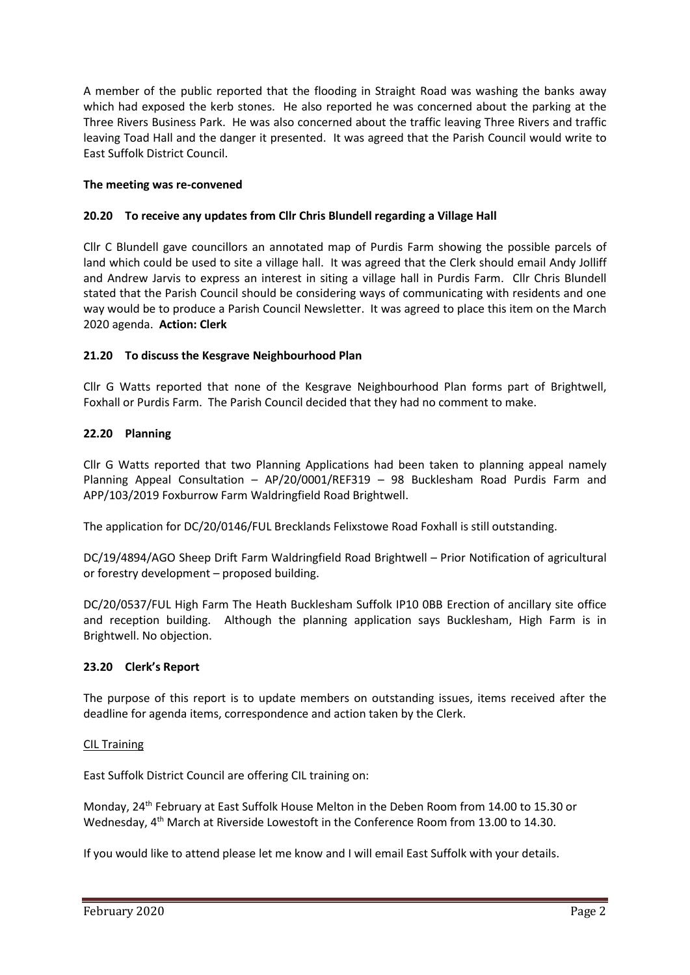A member of the public reported that the flooding in Straight Road was washing the banks away which had exposed the kerb stones. He also reported he was concerned about the parking at the Three Rivers Business Park. He was also concerned about the traffic leaving Three Rivers and traffic leaving Toad Hall and the danger it presented. It was agreed that the Parish Council would write to East Suffolk District Council.

### **The meeting was re-convened**

### **20.20 To receive any updates from Cllr Chris Blundell regarding a Village Hall**

Cllr C Blundell gave councillors an annotated map of Purdis Farm showing the possible parcels of land which could be used to site a village hall. It was agreed that the Clerk should email Andy Jolliff and Andrew Jarvis to express an interest in siting a village hall in Purdis Farm. Cllr Chris Blundell stated that the Parish Council should be considering ways of communicating with residents and one way would be to produce a Parish Council Newsletter. It was agreed to place this item on the March 2020 agenda. **Action: Clerk**

### **21.20 To discuss the Kesgrave Neighbourhood Plan**

Cllr G Watts reported that none of the Kesgrave Neighbourhood Plan forms part of Brightwell, Foxhall or Purdis Farm. The Parish Council decided that they had no comment to make.

### **22.20 Planning**

Cllr G Watts reported that two Planning Applications had been taken to planning appeal namely Planning Appeal Consultation – AP/20/0001/REF319 – 98 Bucklesham Road Purdis Farm and APP/103/2019 Foxburrow Farm Waldringfield Road Brightwell.

The application for DC/20/0146/FUL Brecklands Felixstowe Road Foxhall is still outstanding.

DC/19/4894/AGO Sheep Drift Farm Waldringfield Road Brightwell – Prior Notification of agricultural or forestry development – proposed building.

DC/20/0537/FUL High Farm The Heath Bucklesham Suffolk IP10 0BB Erection of ancillary site office and reception building. Although the planning application says Bucklesham, High Farm is in Brightwell. No objection.

### **23.20 Clerk's Report**

The purpose of this report is to update members on outstanding issues, items received after the deadline for agenda items, correspondence and action taken by the Clerk.

### CIL Training

East Suffolk District Council are offering CIL training on:

Monday, 24<sup>th</sup> February at East Suffolk House Melton in the Deben Room from 14.00 to 15.30 or Wednesday, 4<sup>th</sup> March at Riverside Lowestoft in the Conference Room from 13.00 to 14.30.

If you would like to attend please let me know and I will email East Suffolk with your details.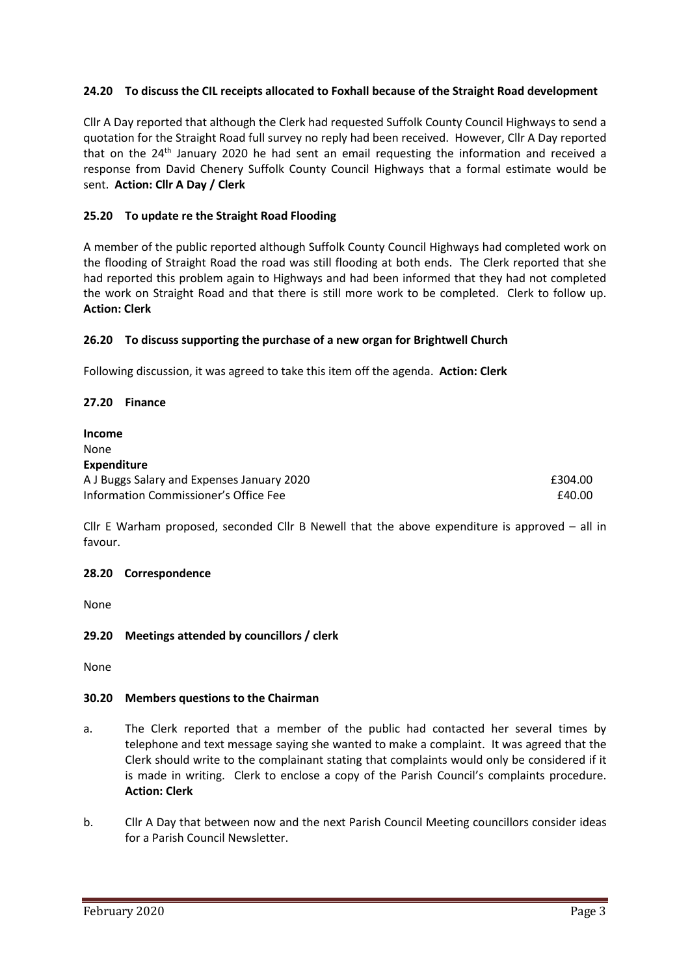## **24.20 To discuss the CIL receipts allocated to Foxhall because of the Straight Road development**

Cllr A Day reported that although the Clerk had requested Suffolk County Council Highways to send a quotation for the Straight Road full survey no reply had been received. However, Cllr A Day reported that on the 24<sup>th</sup> January 2020 he had sent an email requesting the information and received a response from David Chenery Suffolk County Council Highways that a formal estimate would be sent. **Action: Cllr A Day / Clerk**

### **25.20 To update re the Straight Road Flooding**

A member of the public reported although Suffolk County Council Highways had completed work on the flooding of Straight Road the road was still flooding at both ends. The Clerk reported that she had reported this problem again to Highways and had been informed that they had not completed the work on Straight Road and that there is still more work to be completed. Clerk to follow up. **Action: Clerk**

### **26.20 To discuss supporting the purchase of a new organ for Brightwell Church**

Following discussion, it was agreed to take this item off the agenda. **Action: Clerk**

### **27.20 Finance**

| <b>Income</b>                              |         |
|--------------------------------------------|---------|
| None                                       |         |
| <b>Expenditure</b>                         |         |
| A J Buggs Salary and Expenses January 2020 | £304.00 |
| Information Commissioner's Office Fee      | £40.00  |

Cllr E Warham proposed, seconded Cllr B Newell that the above expenditure is approved – all in favour.

### **28.20 Correspondence**

None

### **29.20 Meetings attended by councillors / clerk**

None

### **30.20 Members questions to the Chairman**

- a. The Clerk reported that a member of the public had contacted her several times by telephone and text message saying she wanted to make a complaint. It was agreed that the Clerk should write to the complainant stating that complaints would only be considered if it is made in writing. Clerk to enclose a copy of the Parish Council's complaints procedure. **Action: Clerk**
- b. Cllr A Day that between now and the next Parish Council Meeting councillors consider ideas for a Parish Council Newsletter.